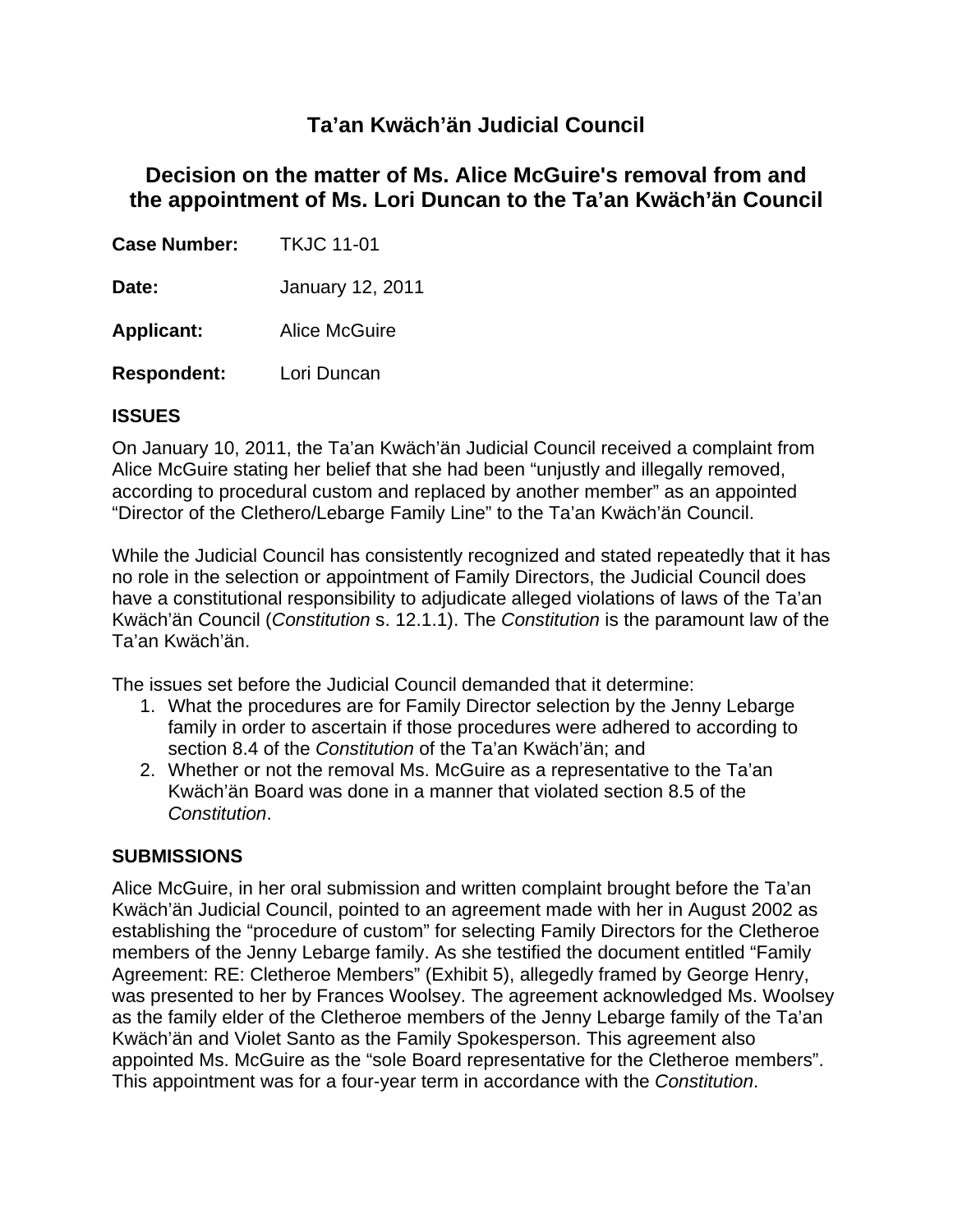# **Ta'an Kwäch'än Judicial Council**

# **Decision on the matter of Ms. Alice McGuire's removal from and the appointment of Ms. Lori Duncan to the Ta'an Kwäch'än Council**

**Case Number:** TKJC 11-01

**Date:** January 12, 2011

**Applicant:** Alice McGuire

**Respondent:** Lori Duncan

## **ISSUES**

On January 10, 2011, the Ta'an Kwäch'än Judicial Council received a complaint from Alice McGuire stating her belief that she had been "unjustly and illegally removed, according to procedural custom and replaced by another member" as an appointed "Director of the Clethero/Lebarge Family Line" to the Ta'an Kwäch'än Council.

While the Judicial Council has consistently recognized and stated repeatedly that it has no role in the selection or appointment of Family Directors, the Judicial Council does have a constitutional responsibility to adjudicate alleged violations of laws of the Ta'an Kwäch'än Council (*Constitution* s. 12.1.1). The *Constitution* is the paramount law of the Ta'an Kwäch'än.

The issues set before the Judicial Council demanded that it determine:

- 1. What the procedures are for Family Director selection by the Jenny Lebarge family in order to ascertain if those procedures were adhered to according to section 8.4 of the *Constitution* of the Ta'an Kwäch'än; and
- 2. Whether or not the removal Ms. McGuire as a representative to the Ta'an Kwäch'än Board was done in a manner that violated section 8.5 of the *Constitution*.

## **SUBMISSIONS**

Alice McGuire, in her oral submission and written complaint brought before the Ta'an Kwäch'än Judicial Council, pointed to an agreement made with her in August 2002 as establishing the "procedure of custom" for selecting Family Directors for the Cletheroe members of the Jenny Lebarge family. As she testified the document entitled "Family Agreement: RE: Cletheroe Members" (Exhibit 5), allegedly framed by George Henry, was presented to her by Frances Woolsey. The agreement acknowledged Ms. Woolsey as the family elder of the Cletheroe members of the Jenny Lebarge family of the Ta'an Kwäch'än and Violet Santo as the Family Spokesperson. This agreement also appointed Ms. McGuire as the "sole Board representative for the Cletheroe members". This appointment was for a four-year term in accordance with the *Constitution*.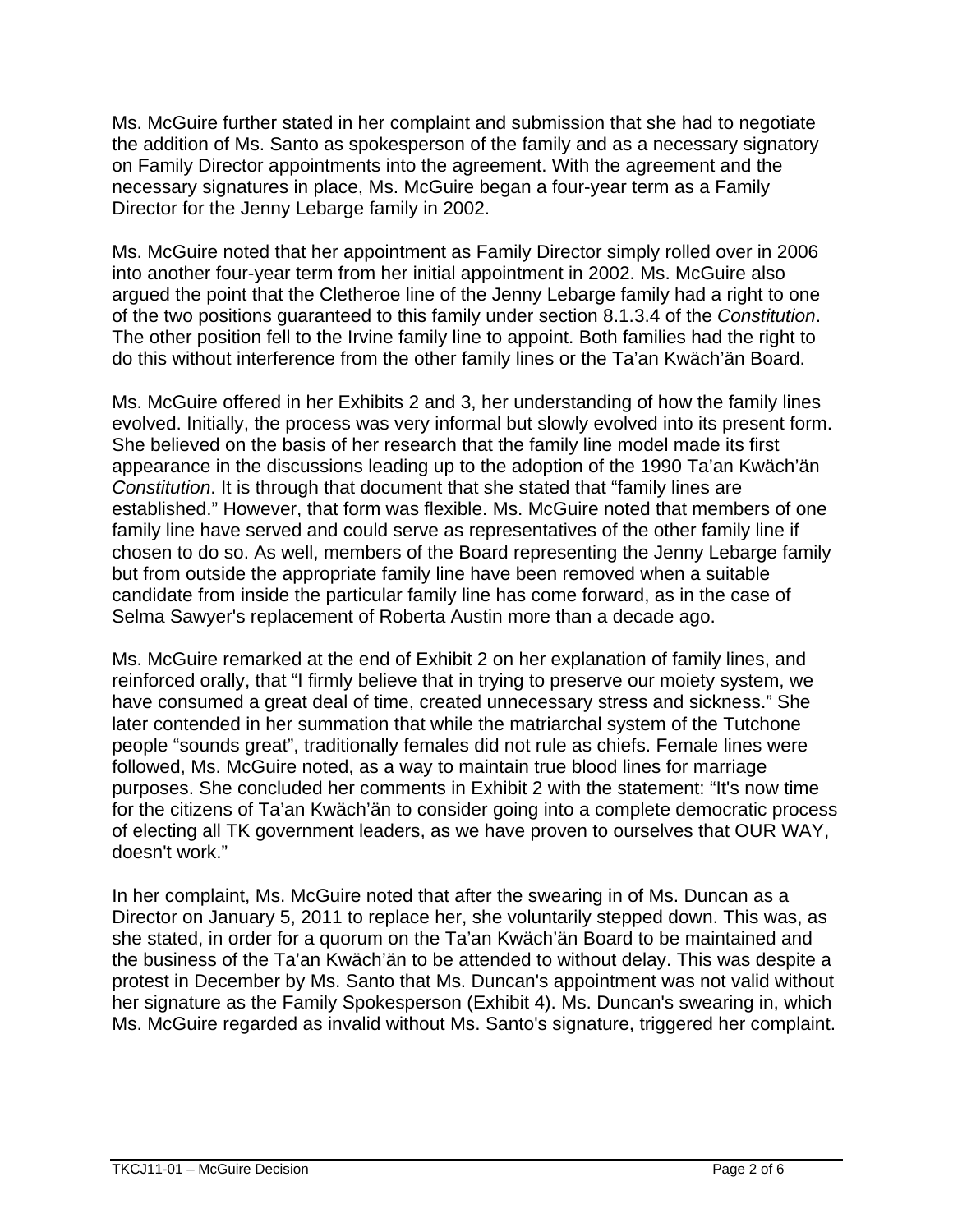Ms. McGuire further stated in her complaint and submission that she had to negotiate the addition of Ms. Santo as spokesperson of the family and as a necessary signatory on Family Director appointments into the agreement. With the agreement and the necessary signatures in place, Ms. McGuire began a four-year term as a Family Director for the Jenny Lebarge family in 2002.

Ms. McGuire noted that her appointment as Family Director simply rolled over in 2006 into another four-year term from her initial appointment in 2002. Ms. McGuire also argued the point that the Cletheroe line of the Jenny Lebarge family had a right to one of the two positions guaranteed to this family under section 8.1.3.4 of the *Constitution*. The other position fell to the Irvine family line to appoint. Both families had the right to do this without interference from the other family lines or the Ta'an Kwäch'än Board.

Ms. McGuire offered in her Exhibits 2 and 3, her understanding of how the family lines evolved. Initially, the process was very informal but slowly evolved into its present form. She believed on the basis of her research that the family line model made its first appearance in the discussions leading up to the adoption of the 1990 Ta'an Kwäch'än *Constitution*. It is through that document that she stated that "family lines are established." However, that form was flexible. Ms. McGuire noted that members of one family line have served and could serve as representatives of the other family line if chosen to do so. As well, members of the Board representing the Jenny Lebarge family but from outside the appropriate family line have been removed when a suitable candidate from inside the particular family line has come forward, as in the case of Selma Sawyer's replacement of Roberta Austin more than a decade ago.

Ms. McGuire remarked at the end of Exhibit 2 on her explanation of family lines, and reinforced orally, that "I firmly believe that in trying to preserve our moiety system, we have consumed a great deal of time, created unnecessary stress and sickness." She later contended in her summation that while the matriarchal system of the Tutchone people "sounds great", traditionally females did not rule as chiefs. Female lines were followed, Ms. McGuire noted, as a way to maintain true blood lines for marriage purposes. She concluded her comments in Exhibit 2 with the statement: "It's now time for the citizens of Ta'an Kwäch'än to consider going into a complete democratic process of electing all TK government leaders, as we have proven to ourselves that OUR WAY, doesn't work."

In her complaint, Ms. McGuire noted that after the swearing in of Ms. Duncan as a Director on January 5, 2011 to replace her, she voluntarily stepped down. This was, as she stated, in order for a quorum on the Ta'an Kwäch'än Board to be maintained and the business of the Ta'an Kwäch'än to be attended to without delay. This was despite a protest in December by Ms. Santo that Ms. Duncan's appointment was not valid without her signature as the Family Spokesperson (Exhibit 4). Ms. Duncan's swearing in, which Ms. McGuire regarded as invalid without Ms. Santo's signature, triggered her complaint.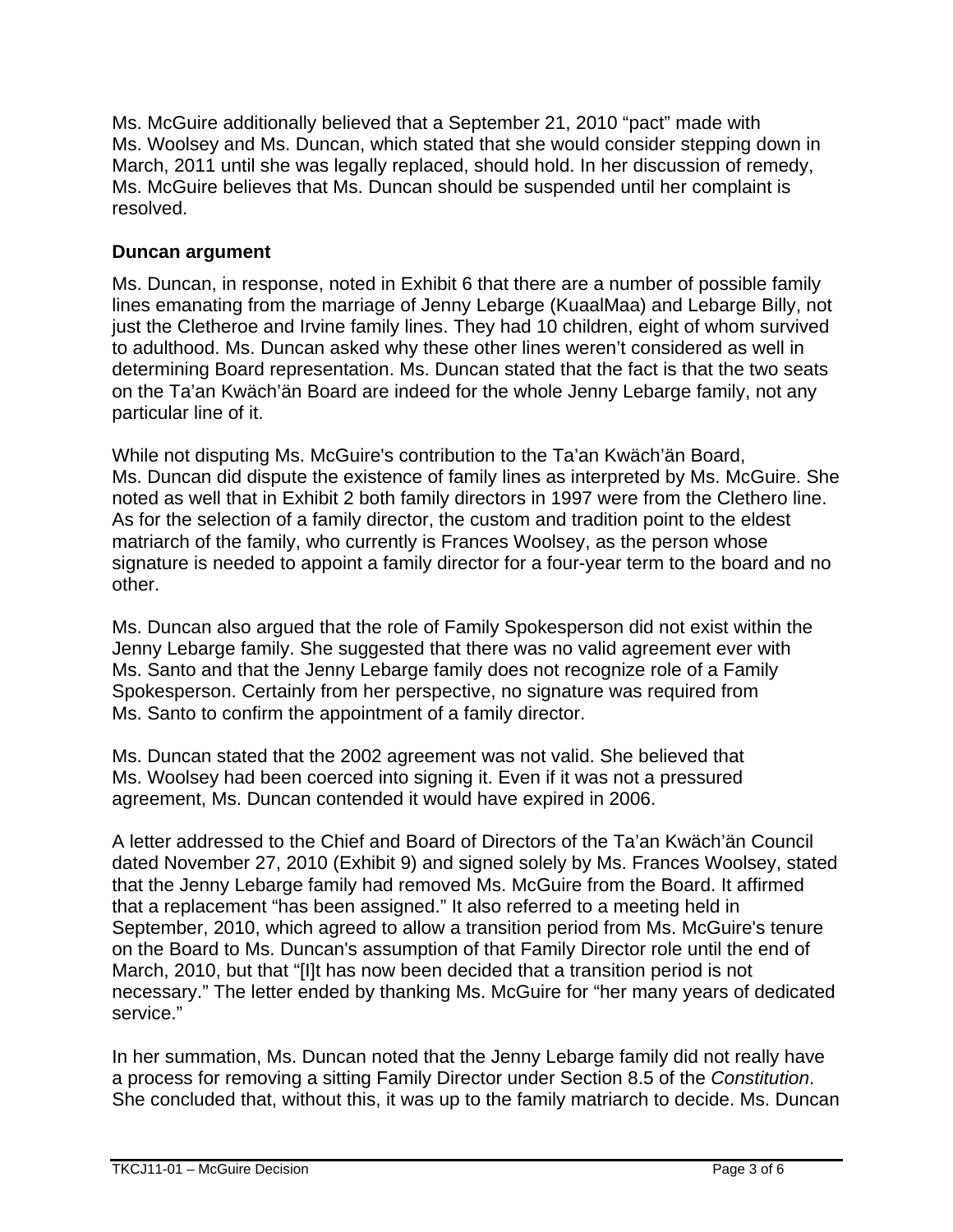Ms. McGuire additionally believed that a September 21, 2010 "pact" made with Ms. Woolsey and Ms. Duncan, which stated that she would consider stepping down in March, 2011 until she was legally replaced, should hold. In her discussion of remedy, Ms. McGuire believes that Ms. Duncan should be suspended until her complaint is resolved.

## **Duncan argument**

Ms. Duncan, in response, noted in Exhibit 6 that there are a number of possible family lines emanating from the marriage of Jenny Lebarge (KuaalMaa) and Lebarge Billy, not just the Cletheroe and Irvine family lines. They had 10 children, eight of whom survived to adulthood. Ms. Duncan asked why these other lines weren't considered as well in determining Board representation. Ms. Duncan stated that the fact is that the two seats on the Ta'an Kwäch'än Board are indeed for the whole Jenny Lebarge family, not any particular line of it.

While not disputing Ms. McGuire's contribution to the Ta'an Kwäch'än Board, Ms. Duncan did dispute the existence of family lines as interpreted by Ms. McGuire. She noted as well that in Exhibit 2 both family directors in 1997 were from the Clethero line. As for the selection of a family director, the custom and tradition point to the eldest matriarch of the family, who currently is Frances Woolsey, as the person whose signature is needed to appoint a family director for a four-year term to the board and no other.

Ms. Duncan also argued that the role of Family Spokesperson did not exist within the Jenny Lebarge family. She suggested that there was no valid agreement ever with Ms. Santo and that the Jenny Lebarge family does not recognize role of a Family Spokesperson. Certainly from her perspective, no signature was required from Ms. Santo to confirm the appointment of a family director.

Ms. Duncan stated that the 2002 agreement was not valid. She believed that Ms. Woolsey had been coerced into signing it. Even if it was not a pressured agreement, Ms. Duncan contended it would have expired in 2006.

A letter addressed to the Chief and Board of Directors of the Ta'an Kwäch'än Council dated November 27, 2010 (Exhibit 9) and signed solely by Ms. Frances Woolsey, stated that the Jenny Lebarge family had removed Ms. McGuire from the Board. It affirmed that a replacement "has been assigned." It also referred to a meeting held in September, 2010, which agreed to allow a transition period from Ms. McGuire's tenure on the Board to Ms. Duncan's assumption of that Family Director role until the end of March, 2010, but that "[I]t has now been decided that a transition period is not necessary." The letter ended by thanking Ms. McGuire for "her many years of dedicated service."

In her summation, Ms. Duncan noted that the Jenny Lebarge family did not really have a process for removing a sitting Family Director under Section 8.5 of the *Constitution*. She concluded that, without this, it was up to the family matriarch to decide. Ms. Duncan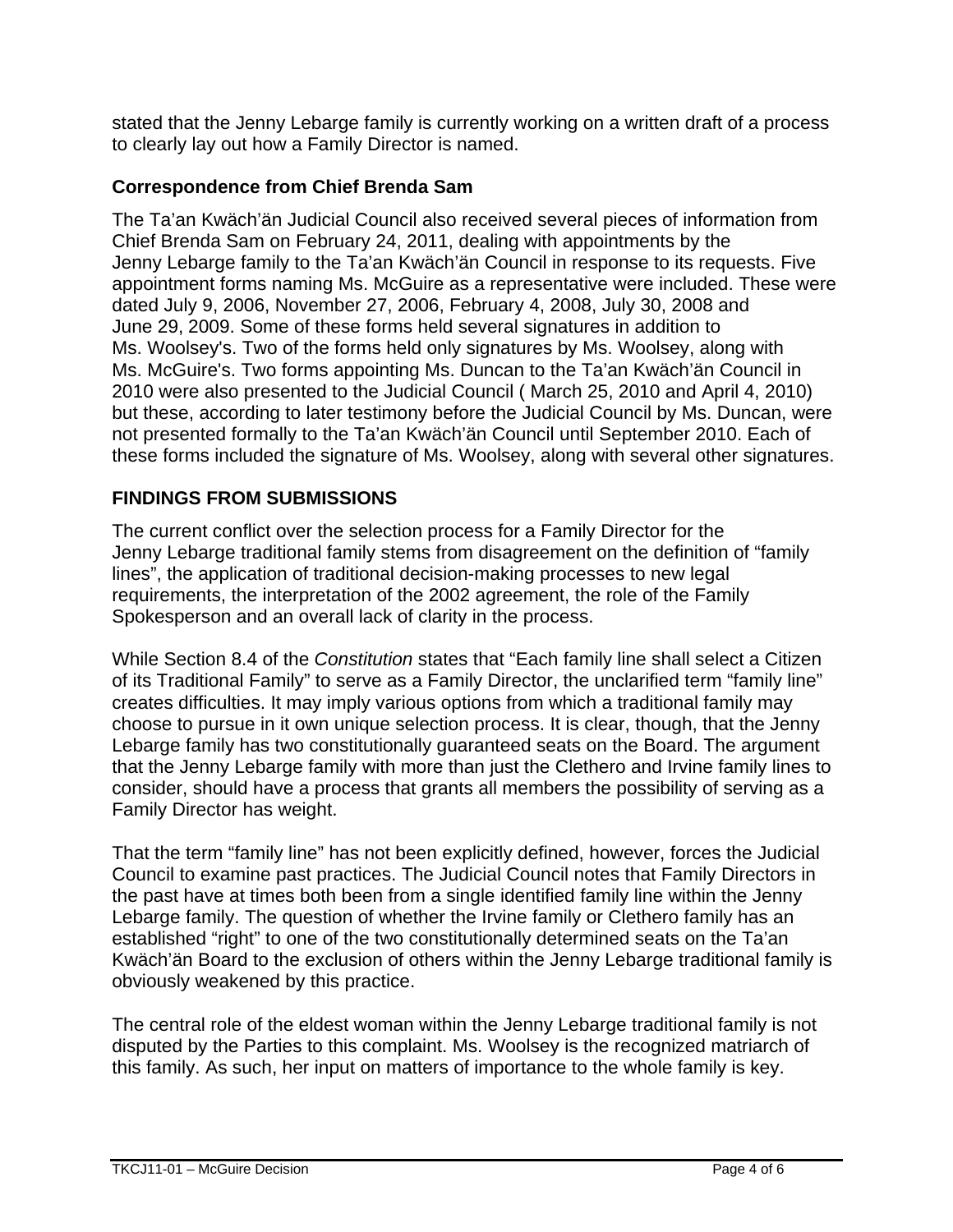stated that the Jenny Lebarge family is currently working on a written draft of a process to clearly lay out how a Family Director is named.

## **Correspondence from Chief Brenda Sam**

The Ta'an Kwäch'än Judicial Council also received several pieces of information from Chief Brenda Sam on February 24, 2011, dealing with appointments by the Jenny Lebarge family to the Ta'an Kwäch'än Council in response to its requests. Five appointment forms naming Ms. McGuire as a representative were included. These were dated July 9, 2006, November 27, 2006, February 4, 2008, July 30, 2008 and June 29, 2009. Some of these forms held several signatures in addition to Ms. Woolsey's. Two of the forms held only signatures by Ms. Woolsey, along with Ms. McGuire's. Two forms appointing Ms. Duncan to the Ta'an Kwäch'än Council in 2010 were also presented to the Judicial Council ( March 25, 2010 and April 4, 2010) but these, according to later testimony before the Judicial Council by Ms. Duncan, were not presented formally to the Ta'an Kwäch'än Council until September 2010. Each of these forms included the signature of Ms. Woolsey, along with several other signatures.

## **FINDINGS FROM SUBMISSIONS**

The current conflict over the selection process for a Family Director for the Jenny Lebarge traditional family stems from disagreement on the definition of "family lines", the application of traditional decision-making processes to new legal requirements, the interpretation of the 2002 agreement, the role of the Family Spokesperson and an overall lack of clarity in the process.

While Section 8.4 of the *Constitution* states that "Each family line shall select a Citizen of its Traditional Family" to serve as a Family Director, the unclarified term "family line" creates difficulties. It may imply various options from which a traditional family may choose to pursue in it own unique selection process. It is clear, though, that the Jenny Lebarge family has two constitutionally guaranteed seats on the Board. The argument that the Jenny Lebarge family with more than just the Clethero and Irvine family lines to consider, should have a process that grants all members the possibility of serving as a Family Director has weight.

That the term "family line" has not been explicitly defined, however, forces the Judicial Council to examine past practices. The Judicial Council notes that Family Directors in the past have at times both been from a single identified family line within the Jenny Lebarge family. The question of whether the Irvine family or Clethero family has an established "right" to one of the two constitutionally determined seats on the Ta'an Kwäch'än Board to the exclusion of others within the Jenny Lebarge traditional family is obviously weakened by this practice.

The central role of the eldest woman within the Jenny Lebarge traditional family is not disputed by the Parties to this complaint. Ms. Woolsey is the recognized matriarch of this family. As such, her input on matters of importance to the whole family is key.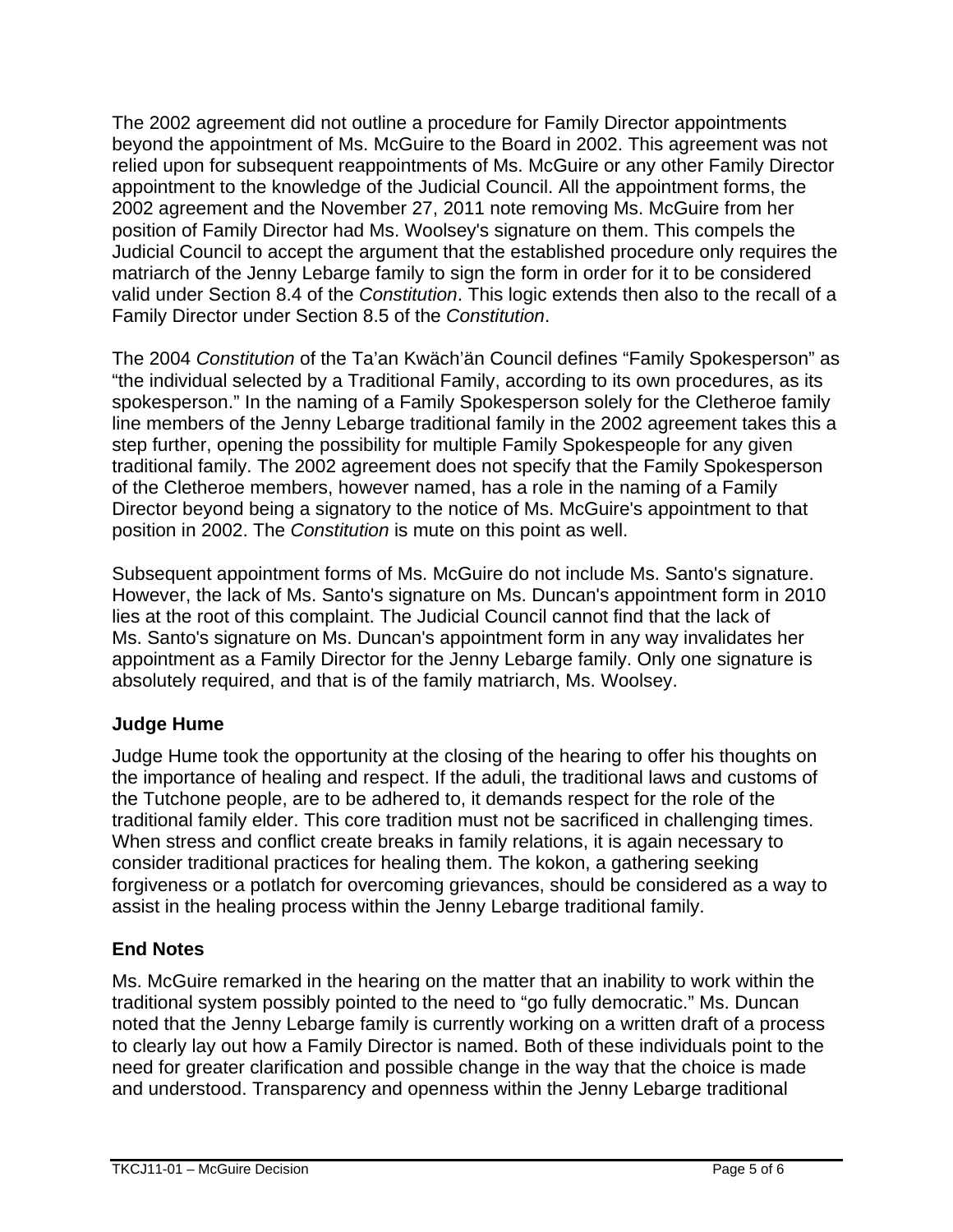The 2002 agreement did not outline a procedure for Family Director appointments beyond the appointment of Ms. McGuire to the Board in 2002. This agreement was not relied upon for subsequent reappointments of Ms. McGuire or any other Family Director appointment to the knowledge of the Judicial Council. All the appointment forms, the 2002 agreement and the November 27, 2011 note removing Ms. McGuire from her position of Family Director had Ms. Woolsey's signature on them. This compels the Judicial Council to accept the argument that the established procedure only requires the matriarch of the Jenny Lebarge family to sign the form in order for it to be considered valid under Section 8.4 of the *Constitution*. This logic extends then also to the recall of a Family Director under Section 8.5 of the *Constitution*.

The 2004 *Constitution* of the Ta'an Kwäch'än Council defines "Family Spokesperson" as "the individual selected by a Traditional Family, according to its own procedures, as its spokesperson." In the naming of a Family Spokesperson solely for the Cletheroe family line members of the Jenny Lebarge traditional family in the 2002 agreement takes this a step further, opening the possibility for multiple Family Spokespeople for any given traditional family. The 2002 agreement does not specify that the Family Spokesperson of the Cletheroe members, however named, has a role in the naming of a Family Director beyond being a signatory to the notice of Ms. McGuire's appointment to that position in 2002. The *Constitution* is mute on this point as well.

Subsequent appointment forms of Ms. McGuire do not include Ms. Santo's signature. However, the lack of Ms. Santo's signature on Ms. Duncan's appointment form in 2010 lies at the root of this complaint. The Judicial Council cannot find that the lack of Ms. Santo's signature on Ms. Duncan's appointment form in any way invalidates her appointment as a Family Director for the Jenny Lebarge family. Only one signature is absolutely required, and that is of the family matriarch, Ms. Woolsey.

## **Judge Hume**

Judge Hume took the opportunity at the closing of the hearing to offer his thoughts on the importance of healing and respect. If the aduli, the traditional laws and customs of the Tutchone people, are to be adhered to, it demands respect for the role of the traditional family elder. This core tradition must not be sacrificed in challenging times. When stress and conflict create breaks in family relations, it is again necessary to consider traditional practices for healing them. The kokon, a gathering seeking forgiveness or a potlatch for overcoming grievances, should be considered as a way to assist in the healing process within the Jenny Lebarge traditional family.

## **End Notes**

Ms. McGuire remarked in the hearing on the matter that an inability to work within the traditional system possibly pointed to the need to "go fully democratic." Ms. Duncan noted that the Jenny Lebarge family is currently working on a written draft of a process to clearly lay out how a Family Director is named. Both of these individuals point to the need for greater clarification and possible change in the way that the choice is made and understood. Transparency and openness within the Jenny Lebarge traditional